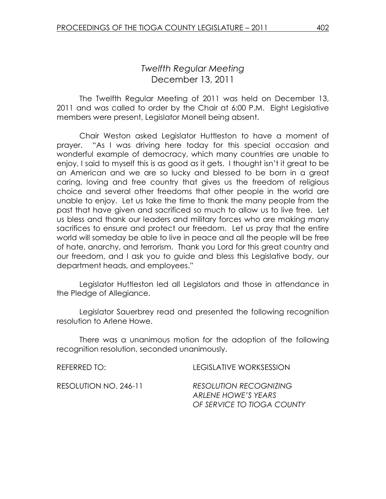# Twelfth Regular Meeting December 13, 2011

 The Twelfth Regular Meeting of 2011 was held on December 13, 2011 and was called to order by the Chair at 6:00 P.M. Eight Legislative members were present, Legislator Monell being absent.

Chair Weston asked Legislator Huttleston to have a moment of prayer. "As I was driving here today for this special occasion and wonderful example of democracy, which many countries are unable to enjoy, I said to myself this is as good as it gets. I thought isn't it great to be an American and we are so lucky and blessed to be born in a great caring, loving and free country that gives us the freedom of religious choice and several other freedoms that other people in the world are unable to enjoy. Let us take the time to thank the many people from the past that have given and sacrificed so much to allow us to live free. Let us bless and thank our leaders and military forces who are making many sacrifices to ensure and protect our freedom. Let us pray that the entire world will someday be able to live in peace and all the people will be free of hate, anarchy, and terrorism. Thank you Lord for this great country and our freedom, and I ask you to guide and bless this Legislative body, our department heads, and employees."

 Legislator Huttleston led all Legislators and those in attendance in the Pledge of Allegiance.

Legislator Sauerbrey read and presented the following recognition resolution to Arlene Howe.

 There was a unanimous motion for the adoption of the following recognition resolution, seconded unanimously.

| REFERRED TO:          | LEGISLATIVE WORKSESSION                                                            |
|-----------------------|------------------------------------------------------------------------------------|
| RESOLUTION NO. 246-11 | <b>RESOLUTION RECOGNIZING</b><br>ARLENE HOWE'S YEARS<br>OF SERVICE TO TIOGA COUNTY |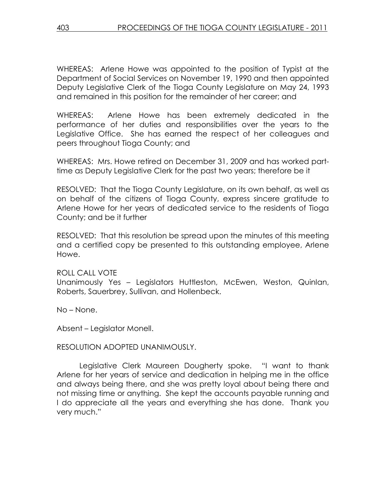WHEREAS: Arlene Howe was appointed to the position of Typist at the Department of Social Services on November 19, 1990 and then appointed Deputy Legislative Clerk of the Tioga County Legislature on May 24, 1993 and remained in this position for the remainder of her career; and

WHEREAS: Arlene Howe has been extremely dedicated in the performance of her duties and responsibilities over the years to the Legislative Office. She has earned the respect of her colleagues and peers throughout Tioga County; and

WHEREAS: Mrs. Howe retired on December 31, 2009 and has worked parttime as Deputy Legislative Clerk for the past two years; therefore be it

RESOLVED: That the Tioga County Legislature, on its own behalf, as well as on behalf of the citizens of Tioga County, express sincere gratitude to Arlene Howe for her years of dedicated service to the residents of Tioga County; and be it further

RESOLVED: That this resolution be spread upon the minutes of this meeting and a certified copy be presented to this outstanding employee, Arlene Howe.

ROLL CALL VOTE Unanimously Yes – Legislators Huttleston, McEwen, Weston, Quinlan, Roberts, Sauerbrey, Sullivan, and Hollenbeck.

No – None.

Absent – Legislator Monell.

## RESOLUTION ADOPTED UNANIMOUSLY.

 Legislative Clerk Maureen Dougherty spoke. "I want to thank Arlene for her years of service and dedication in helping me in the office and always being there, and she was pretty loyal about being there and not missing time or anything. She kept the accounts payable running and I do appreciate all the years and everything she has done. Thank you very much."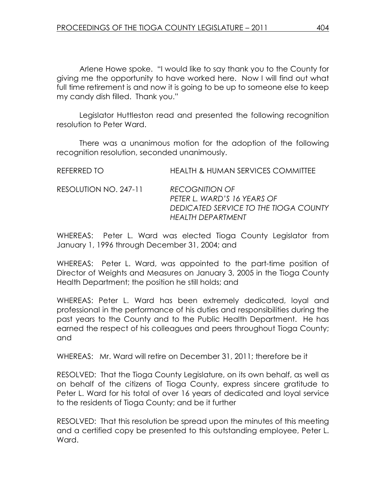Arlene Howe spoke. "I would like to say thank you to the County for giving me the opportunity to have worked here. Now I will find out what full time retirement is and now it is going to be up to someone else to keep my candy dish filled. Thank you."

 Legislator Huttleston read and presented the following recognition resolution to Peter Ward.

 There was a unanimous motion for the adoption of the following recognition resolution, seconded unanimously.

| REFERRED TO           | <b>HEALTH &amp; HUMAN SERVICES COMMITTEE</b>                                                                       |
|-----------------------|--------------------------------------------------------------------------------------------------------------------|
| RESOLUTION NO. 247-11 | <b>RECOGNITION OF</b><br>PETER L. WARD'S 16 YEARS OF<br>DEDICATED SERVICE TO THE TIOGA COUNTY<br>HEALTH DEPARTMENT |

WHEREAS: Peter L. Ward was elected Tioga County Legislator from January 1, 1996 through December 31, 2004; and

WHEREAS: Peter L. Ward, was appointed to the part-time position of Director of Weights and Measures on January 3, 2005 in the Tioga County Health Department; the position he still holds; and

WHEREAS: Peter L. Ward has been extremely dedicated, loyal and professional in the performance of his duties and responsibilities during the past years to the County and to the Public Health Department. He has earned the respect of his colleagues and peers throughout Tioga County; and

WHEREAS: Mr. Ward will retire on December 31, 2011; therefore be it

RESOLVED: That the Tioga County Legislature, on its own behalf, as well as on behalf of the citizens of Tioga County, express sincere gratitude to Peter L. Ward for his total of over 16 years of dedicated and loyal service to the residents of Tioga County; and be it further

RESOLVED: That this resolution be spread upon the minutes of this meeting and a certified copy be presented to this outstanding employee, Peter L. Ward.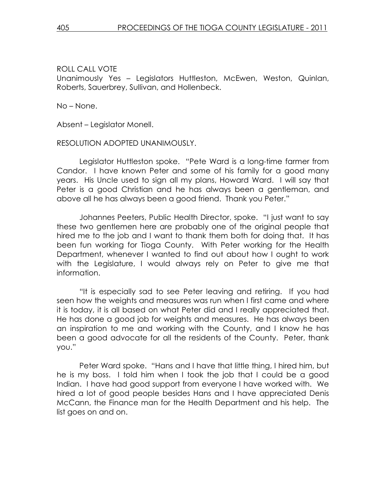Unanimously Yes – Legislators Huttleston, McEwen, Weston, Quinlan, Roberts, Sauerbrey, Sullivan, and Hollenbeck.

No – None.

Absent – Legislator Monell.

#### RESOLUTION ADOPTED UNANIMOUSLY.

 Legislator Huttleston spoke. "Pete Ward is a long-time farmer from Candor. I have known Peter and some of his family for a good many years. His Uncle used to sign all my plans, Howard Ward. I will say that Peter is a good Christian and he has always been a gentleman, and above all he has always been a good friend. Thank you Peter."

 Johannes Peeters, Public Health Director, spoke. "I just want to say these two gentlemen here are probably one of the original people that hired me to the job and I want to thank them both for doing that. It has been fun working for Tioga County. With Peter working for the Health Department, whenever I wanted to find out about how I ought to work with the Legislature, I would always rely on Peter to give me that information.

 "It is especially sad to see Peter leaving and retiring. If you had seen how the weights and measures was run when I first came and where it is today, it is all based on what Peter did and I really appreciated that. He has done a good job for weights and measures. He has always been an inspiration to me and working with the County, and I know he has been a good advocate for all the residents of the County. Peter, thank you."

 Peter Ward spoke. "Hans and I have that little thing, I hired him, but he is my boss. I told him when I took the job that I could be a good Indian. I have had good support from everyone I have worked with. We hired a lot of good people besides Hans and I have appreciated Denis McCann, the Finance man for the Health Department and his help. The list goes on and on.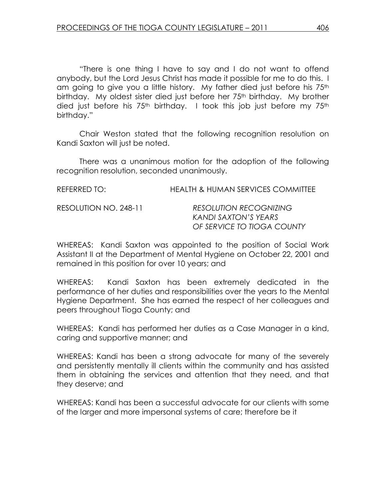"There is one thing I have to say and I do not want to offend anybody, but the Lord Jesus Christ has made it possible for me to do this. I am going to give you a little history. My father died just before his 75<sup>th</sup> birthday. My oldest sister died just before her 75<sup>th</sup> birthday. My brother died just before his  $75<sup>th</sup>$  birthday. I took this job just before my  $75<sup>th</sup>$ birthday."

 Chair Weston stated that the following recognition resolution on Kandi Saxton will just be noted.

 There was a unanimous motion for the adoption of the following recognition resolution, seconded unanimously.

| REFERRED TO:          | HEALTH & HUMAN SERVICES COMMITTEE                                                   |
|-----------------------|-------------------------------------------------------------------------------------|
| RESOLUTION NO. 248-11 | <b>RESOLUTION RECOGNIZING</b><br>KANDI SAXTON'S YEARS<br>OF SERVICE TO TIOGA COUNTY |

WHEREAS: Kandi Saxton was appointed to the position of Social Work Assistant II at the Department of Mental Hygiene on October 22, 2001 and remained in this position for over 10 years; and

WHEREAS: Kandi Saxton has been extremely dedicated in the performance of her duties and responsibilities over the years to the Mental Hygiene Department. She has earned the respect of her colleagues and peers throughout Tioga County; and

WHEREAS: Kandi has performed her duties as a Case Manager in a kind, caring and supportive manner; and

WHEREAS: Kandi has been a strong advocate for many of the severely and persistently mentally ill clients within the community and has assisted them in obtaining the services and attention that they need, and that they deserve; and

WHEREAS: Kandi has been a successful advocate for our clients with some of the larger and more impersonal systems of care; therefore be it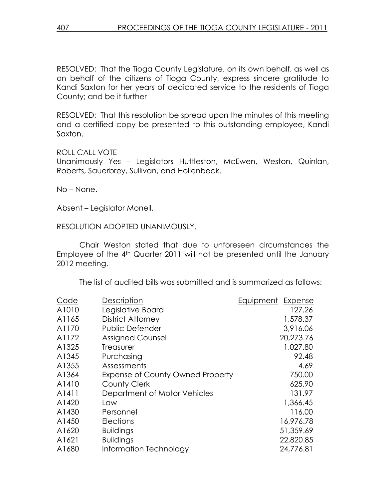RESOLVED: That the Tioga County Legislature, on its own behalf, as well as on behalf of the citizens of Tioga County, express sincere gratitude to Kandi Saxton for her years of dedicated service to the residents of Tioga County; and be it further

RESOLVED: That this resolution be spread upon the minutes of this meeting and a certified copy be presented to this outstanding employee, Kandi Saxton.

ROLL CALL VOTE

Unanimously Yes – Legislators Huttleston, McEwen, Weston, Quinlan, Roberts, Sauerbrey, Sullivan, and Hollenbeck.

No – None.

Absent – Legislator Monell.

RESOLUTION ADOPTED UNANIMOUSLY.

 Chair Weston stated that due to unforeseen circumstances the Employee of the 4<sup>th</sup> Quarter 2011 will not be presented until the January 2012 meeting.

The list of audited bills was submitted and is summarized as follows:

| Code  | Description                             | Equipment<br>Expense |
|-------|-----------------------------------------|----------------------|
| A1010 | Legislative Board                       | 127.26               |
| A1165 | District Attorney                       | 1,578.37             |
| A1170 | <b>Public Defender</b>                  | 3,916.06             |
| A1172 | <b>Assigned Counsel</b>                 | 20,273.76            |
| A1325 | <b>Treasurer</b>                        | 1,027.80             |
| A1345 | Purchasing                              | 92.48                |
| A1355 | Assessments                             | 4.69                 |
| A1364 | <b>Expense of County Owned Property</b> | 750.00               |
| A1410 | County Clerk                            | 625.90               |
| A1411 | Department of Motor Vehicles            | 131.97               |
| A1420 | Law                                     | 1,366.45             |
| A1430 | Personnel                               | 116.00               |
| A1450 | <b>Elections</b>                        | 16,976.78            |
| A1620 | <b>Buildings</b>                        | 51,359.69            |
| A1621 | <b>Buildings</b>                        | 22,820.85            |
| A1680 | Information Technology                  | 24,776.81            |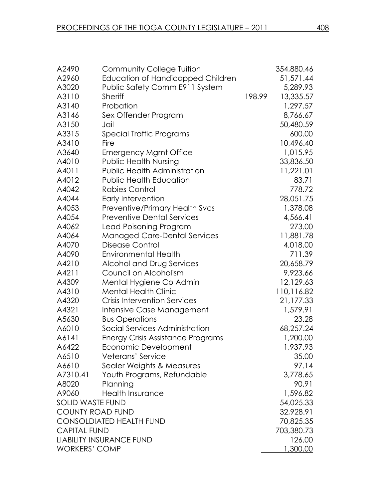| A2490                   | <b>Community College Tuition</b>         |        | 354,880.46 |
|-------------------------|------------------------------------------|--------|------------|
| A2960                   | Education of Handicapped Children        |        | 51,571.44  |
| A3020                   | Public Safety Comm E911 System           |        | 5,289.93   |
| A3110                   | <b>Sheriff</b>                           | 198.99 | 13,335.57  |
| A3140                   | Probation                                |        | 1,297.57   |
| A3146                   | Sex Offender Program                     |        | 8,766.67   |
| A3150                   | Jail                                     |        | 50,480.59  |
| A3315                   | Special Traffic Programs                 |        | 600.00     |
| A3410                   | Fire                                     |        | 10,496.40  |
| A3640                   | <b>Emergency Mgmt Office</b>             |        | 1,015.95   |
| A4010                   | <b>Public Health Nursing</b>             |        | 33,836.50  |
| A4011                   | <b>Public Health Administration</b>      |        | 11,221.01  |
| A4012                   | <b>Public Health Education</b>           |        | 83.71      |
| A4042                   | Rabies Control                           |        | 778.72     |
| A4044                   | Early Intervention                       |        | 28,051.75  |
| A4053                   | <b>Preventive/Primary Health Svcs</b>    |        | 1,378.08   |
| A4054                   | <b>Preventive Dental Services</b>        |        | 4,566.41   |
| A4062                   | Lead Poisoning Program                   |        | 273.00     |
| A4064                   | <b>Managed Care-Dental Services</b>      |        | 11,881.78  |
| A4070                   | Disease Control                          |        | 4,018.00   |
| A4090                   | <b>Environmental Health</b>              |        | 711.39     |
| A4210                   | Alcohol and Drug Services                |        | 20,658.79  |
| A4211                   | Council on Alcoholism                    |        | 9,923.66   |
| A4309                   | Mental Hygiene Co Admin                  |        | 12,129.63  |
| A4310                   | <b>Mental Health Clinic</b>              |        | 110,116.82 |
| A4320                   | <b>Crisis Intervention Services</b>      |        | 21,177.33  |
| A4321                   | Intensive Case Management                |        | 1,579.91   |
| A5630                   | <b>Bus Operations</b>                    |        | 23.28      |
| A6010                   | Social Services Administration           |        | 68,257.24  |
| A6141                   | <b>Energy Crisis Assistance Programs</b> |        | 1,200.00   |
| A6422                   | Economic Development                     |        | 1,937.93   |
| A6510                   | Veterans' Service                        |        | 35.00      |
| A6610                   | Sealer Weights & Measures                |        | 97.14      |
| A7310.41                | Youth Programs, Refundable               |        | 3,778.65   |
| A8020                   | Planning                                 |        | 90.91      |
| A9060                   | <b>Health Insurance</b>                  |        | 1,596.82   |
| <b>SOLID WASTE FUND</b> |                                          |        | 54,025.33  |
| <b>COUNTY ROAD FUND</b> |                                          |        | 32,928.91  |
|                         | <b>CONSOLDIATED HEALTH FUND</b>          |        | 70,825.35  |
| <b>CAPITAL FUND</b>     |                                          |        | 703,380.73 |
|                         | <b>LIABILITY INSURANCE FUND</b>          |        | 126.00     |
| <b>WORKERS' COMP</b>    |                                          |        | 1,300.00   |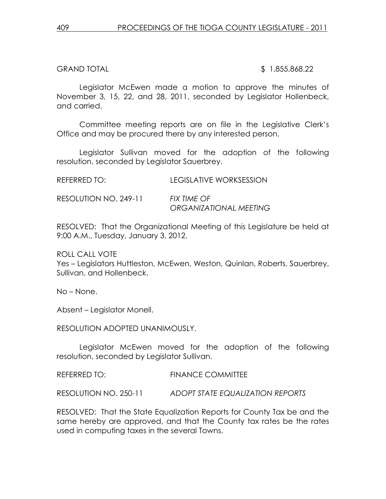#### GRAND TOTAL \$ 1,855,868.22

Legislator McEwen made a motion to approve the minutes of November 3, 15, 22, and 28, 2011, seconded by Legislator Hollenbeck, and carried.

Committee meeting reports are on file in the Legislative Clerk's Office and may be procured there by any interested person.

 Legislator Sullivan moved for the adoption of the following resolution, seconded by Legislator Sauerbrey.

REFERRED TO: LEGISLATIVE WORKSESSION

RESOLUTION NO. 249-11 FIX TIME OF ORGANIZATIONAL MEETING

RESOLVED: That the Organizational Meeting of this Legislature be held at 9:00 A.M., Tuesday, January 3, 2012.

ROLL CALL VOTE Yes – Legislators Huttleston, McEwen, Weston, Quinlan, Roberts, Sauerbrey, Sullivan, and Hollenbeck.

No – None.

Absent – Legislator Monell.

RESOLUTION ADOPTED UNANIMOUSLY.

 Legislator McEwen moved for the adoption of the following resolution, seconded by Legislator Sullivan.

REFERRED TO: FINANCE COMMITTEE

RESOLUTION NO. 250-11 ADOPT STATE EQUALIZATION REPORTS

RESOLVED: That the State Equalization Reports for County Tax be and the same hereby are approved, and that the County tax rates be the rates used in computing taxes in the several Towns.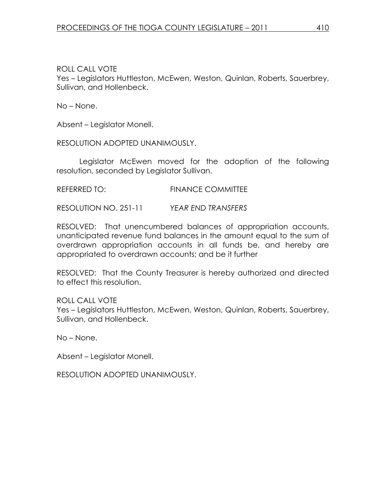Yes – Legislators Huttleston, McEwen, Weston, Quinlan, Roberts, Sauerbrey, Sullivan, and Hollenbeck.

No – None.

Absent – Legislator Monell.

RESOLUTION ADOPTED UNANIMOUSLY.

 Legislator McEwen moved for the adoption of the following resolution, seconded by Legislator Sullivan.

REFERRED TO: FINANCE COMMITTEE

RESOLUTION NO. 251-11 YEAR END TRANSFERS

RESOLVED: That unencumbered balances of appropriation accounts, unanticipated revenue fund balances in the amount equal to the sum of overdrawn appropriation accounts in all funds be, and hereby are appropriated to overdrawn accounts; and be it further

RESOLVED: That the County Treasurer is hereby authorized and directed to effect this resolution.

ROLL CALL VOTE Yes – Legislators Huttleston, McEwen, Weston, Quinlan, Roberts, Sauerbrey, Sullivan, and Hollenbeck.

No – None.

Absent – Legislator Monell.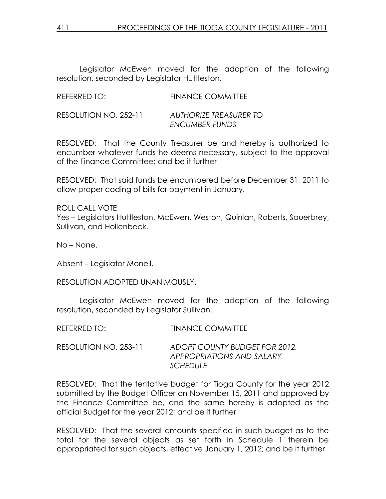Legislator McEwen moved for the adoption of the following resolution, seconded by Legislator Huttleston.

| REFERRED TO:          | <b>FINANCE COMMITTEE</b>                        |
|-----------------------|-------------------------------------------------|
| RESOLUTION NO. 252-11 | AUTHORIZE TREASURER TO<br><b>ENCUMBER FUNDS</b> |

RESOLVED: That the County Treasurer be and hereby is authorized to encumber whatever funds he deems necessary, subject to the approval of the Finance Committee; and be it further

RESOLVED: That said funds be encumbered before December 31, 2011 to allow proper coding of bills for payment in January.

ROLL CALL VOTE Yes – Legislators Huttleston, McEwen, Weston, Quinlan, Roberts, Sauerbrey, Sullivan, and Hollenbeck.

No – None.

Absent – Legislator Monell.

RESOLUTION ADOPTED UNANIMOUSLY.

 Legislator McEwen moved for the adoption of the following resolution, seconded by Legislator Sullivan.

RESOLUTION NO. 253-11 ADOPT COUNTY BUDGET FOR 2012, APPROPRIATIONS AND SALARY **SCHEDULE** 

RESOLVED: That the tentative budget for Tioga County for the year 2012 submitted by the Budget Officer on November 15, 2011 and approved by the Finance Committee be, and the same hereby is adopted as the official Budget for the year 2012; and be it further

RESOLVED: That the several amounts specified in such budget as to the total for the several objects as set forth in Schedule 1 therein be appropriated for such objects, effective January 1, 2012; and be it further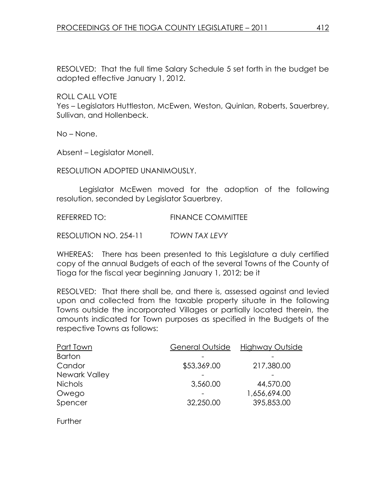RESOLVED: That the full time Salary Schedule 5 set forth in the budget be adopted effective January 1, 2012.

ROLL CALL VOTE

Yes – Legislators Huttleston, McEwen, Weston, Quinlan, Roberts, Sauerbrey, Sullivan, and Hollenbeck.

No – None.

Absent – Legislator Monell.

RESOLUTION ADOPTED UNANIMOUSLY.

 Legislator McEwen moved for the adoption of the following resolution, seconded by Legislator Sauerbrey.

REFERRED TO: FINANCE COMMITTEE

RESOLUTION NO. 254-11 TOWN TAX LEVY

WHEREAS: There has been presented to this Legislature a duly certified copy of the annual Budgets of each of the several Towns of the County of Tioga for the fiscal year beginning January 1, 2012; be it

RESOLVED: That there shall be, and there is, assessed against and levied upon and collected from the taxable property situate in the following Towns outside the incorporated Villages or partially located therein, the amounts indicated for Town purposes as specified in the Budgets of the respective Towns as follows:

| General Outside | Highway Outside |
|-----------------|-----------------|
|                 |                 |
| \$53,369.00     | 217,380.00      |
|                 |                 |
| 3,560.00        | 44,570.00       |
|                 | 1,656,694.00    |
| 32,250.00       | 395,853.00      |
|                 |                 |

**Further**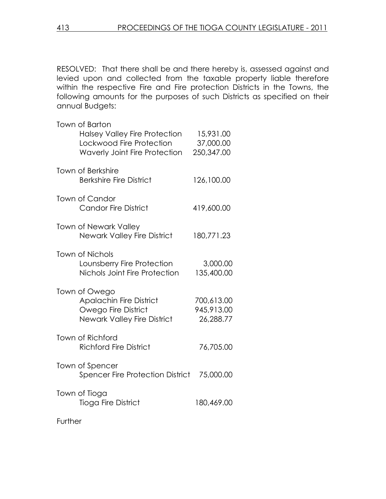RESOLVED: That there shall be and there hereby is, assessed against and levied upon and collected from the taxable property liable therefore within the respective Fire and Fire protection Districts in the Towns, the following amounts for the purposes of such Districts as specified on their annual Budgets:

| <b>Town of Berkshire</b><br><b>Berkshire Fire District</b><br>126,100.00<br>Town of Candor<br><b>Candor Fire District</b><br>419,600.00<br><b>Town of Newark Valley</b><br><b>Newark Valley Fire District</b><br>180,771.23<br><b>Town of Nichols</b><br>Lounsberry Fire Protection<br>3,000.00<br>Nichols Joint Fire Protection<br>135,400.00<br>Town of Owego<br><b>Apalachin Fire District</b><br>700,613.00<br>Owego Fire District<br>945,913.00<br><b>Newark Valley Fire District</b><br>26,288.77<br><b>Town of Richford</b><br><b>Richford Fire District</b><br>76,705.00<br>Town of Spencer<br>Spencer Fire Protection District<br>75,000.00<br>Town of Tioga<br><b>Tioga Fire District</b><br>180,469.00 | Town of Barton<br><b>Halsey Valley Fire Protection</b><br>Lockwood Fire Protection<br><b>Waverly Joint Fire Protection</b> | 15,931.00<br>37,000.00<br>250,347.00 |
|-------------------------------------------------------------------------------------------------------------------------------------------------------------------------------------------------------------------------------------------------------------------------------------------------------------------------------------------------------------------------------------------------------------------------------------------------------------------------------------------------------------------------------------------------------------------------------------------------------------------------------------------------------------------------------------------------------------------|----------------------------------------------------------------------------------------------------------------------------|--------------------------------------|
|                                                                                                                                                                                                                                                                                                                                                                                                                                                                                                                                                                                                                                                                                                                   |                                                                                                                            |                                      |
|                                                                                                                                                                                                                                                                                                                                                                                                                                                                                                                                                                                                                                                                                                                   |                                                                                                                            |                                      |
|                                                                                                                                                                                                                                                                                                                                                                                                                                                                                                                                                                                                                                                                                                                   |                                                                                                                            |                                      |
|                                                                                                                                                                                                                                                                                                                                                                                                                                                                                                                                                                                                                                                                                                                   |                                                                                                                            |                                      |
|                                                                                                                                                                                                                                                                                                                                                                                                                                                                                                                                                                                                                                                                                                                   |                                                                                                                            |                                      |
|                                                                                                                                                                                                                                                                                                                                                                                                                                                                                                                                                                                                                                                                                                                   |                                                                                                                            |                                      |
|                                                                                                                                                                                                                                                                                                                                                                                                                                                                                                                                                                                                                                                                                                                   |                                                                                                                            |                                      |
|                                                                                                                                                                                                                                                                                                                                                                                                                                                                                                                                                                                                                                                                                                                   |                                                                                                                            |                                      |

**Further**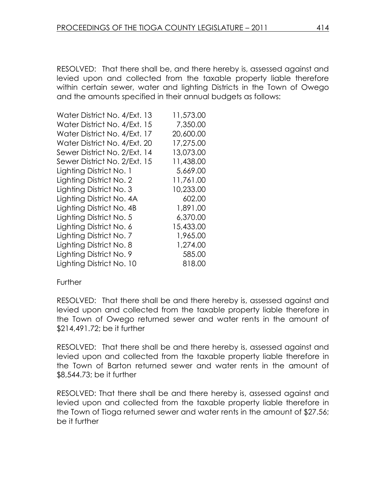RESOLVED: That there shall be, and there hereby is, assessed against and levied upon and collected from the taxable property liable therefore within certain sewer, water and lighting Districts in the Town of Owego and the amounts specified in their annual budgets as follows:

| Water District No. 4/Ext. 13 | 11,573.00 |
|------------------------------|-----------|
| Water District No. 4/Ext. 15 | 7,350.00  |
| Water District No. 4/Ext. 17 | 20,600.00 |
| Water District No. 4/Ext. 20 | 17,275.00 |
| Sewer District No. 2/Ext. 14 | 13,073.00 |
| Sewer District No. 2/Ext. 15 | 11,438.00 |
| Lighting District No. 1      | 5,669.00  |
| Lighting District No. 2      | 11,761.00 |
| Lighting District No. 3      | 10,233.00 |
| Lighting District No. 4A     | 602.00    |
| Lighting District No. 4B     | 1,891.00  |
| Lighting District No. 5      | 6,370.00  |
| Lighting District No. 6      | 15,433.00 |
| Lighting District No. 7      | 1,965.00  |
| Lighting District No. 8      | 1,274.00  |
| Lighting District No. 9      | 585.00    |
| Lighting District No. 10     | 818.00    |

#### **Further**

RESOLVED: That there shall be and there hereby is, assessed against and levied upon and collected from the taxable property liable therefore in the Town of Owego returned sewer and water rents in the amount of \$214,491.72; be it further

RESOLVED: That there shall be and there hereby is, assessed against and levied upon and collected from the taxable property liable therefore in the Town of Barton returned sewer and water rents in the amount of \$8,544.73; be it further

RESOLVED: That there shall be and there hereby is, assessed against and levied upon and collected from the taxable property liable therefore in the Town of Tioga returned sewer and water rents in the amount of \$27.56; be it further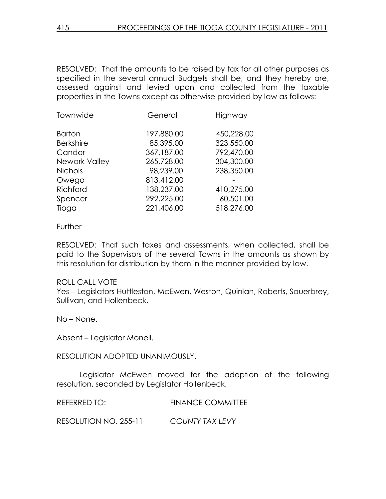RESOLVED: That the amounts to be raised by tax for all other purposes as specified in the several annual Budgets shall be, and they hereby are, assessed against and levied upon and collected from the taxable properties in the Towns except as otherwise provided by law as follows:

| Townwide             | General    | Highway    |
|----------------------|------------|------------|
| <b>Barton</b>        | 197,880.00 | 450,228.00 |
| <b>Berkshire</b>     | 85,395.00  | 323,550.00 |
| Candor               | 367,187.00 | 792,470.00 |
| <b>Newark Valley</b> | 265,728.00 | 304,300.00 |
| <b>Nichols</b>       | 98,239.00  | 238,350.00 |
| Owego                | 813,412.00 |            |
| Richford             | 138,237.00 | 410,275.00 |
| Spencer              | 292,225.00 | 60,501.00  |
| Tioga                | 221,406.00 | 518,276.00 |
|                      |            |            |

#### Further

RESOLVED: That such taxes and assessments, when collected, shall be paid to the Supervisors of the several Towns in the amounts as shown by this resolution for distribution by them in the manner provided by law.

#### ROLL CALL VOTE

Yes – Legislators Huttleston, McEwen, Weston, Quinlan, Roberts, Sauerbrey, Sullivan, and Hollenbeck.

No – None.

Absent – Legislator Monell.

RESOLUTION ADOPTED UNANIMOUSLY.

 Legislator McEwen moved for the adoption of the following resolution, seconded by Legislator Hollenbeck.

REFERRED TO: FINANCE COMMITTEE

RESOLUTION NO. 255-11 COUNTY TAX LEVY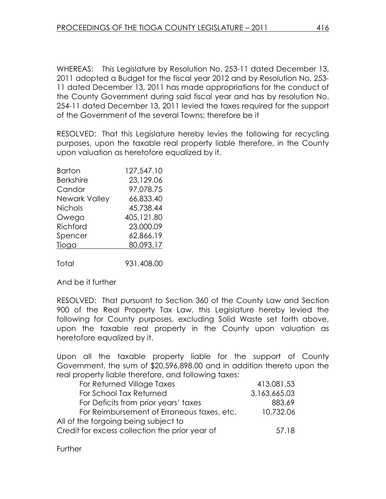WHEREAS: This Legislature by Resolution No. 253-11 dated December 13, 2011 adopted a Budget for the fiscal year 2012 and by Resolution No. 253- 11 dated December 13, 2011 has made appropriations for the conduct of the County Government during said fiscal year and has by resolution No. 254-11 dated December 13, 2011 levied the taxes required for the support of the Government of the several Towns; therefore be it

RESOLVED: That this Legislature hereby levies the following for recycling purposes, upon the taxable real property liable therefore, in the County upon valuation as heretofore equalized by it.

| Barton               | 127,547.10 |
|----------------------|------------|
| <b>Berkshire</b>     | 23,129.06  |
| Candor               | 97,078.75  |
| <b>Newark Valley</b> | 66,833.40  |
| <b>Nichols</b>       | 45.738.44  |
| Owego                | 405,121.80 |
| Richford             | 23,000.09  |
| Spencer              | 62,866.19  |
| Tioga                | 80,093.17  |
|                      |            |

Total 931,408.00

And be it further

RESOLVED: That pursuant to Section 360 of the County Law and Section 900 of the Real Property Tax Law, this Legislature hereby levied the following for County purposes, excluding Solid Waste set forth above, upon the taxable real property in the County upon valuation as heretofore equalized by it.

Upon all the taxable property liable for the support of County Government, the sum of \$20,596,898.00 and in addition thereto upon the real property liable therefore, and following taxes:

| For Returned Village Taxes                     | 413,081.53   |
|------------------------------------------------|--------------|
| For School Tax Returned                        | 3,163,665.03 |
| For Deficits from prior years' taxes           | 883.69       |
| For Reimbursement of Erroneous taxes, etc.     | 10,732.06    |
| All of the forgoing being subject to           |              |
| Credit for excess collection the prior year of | 57.18        |

**Further**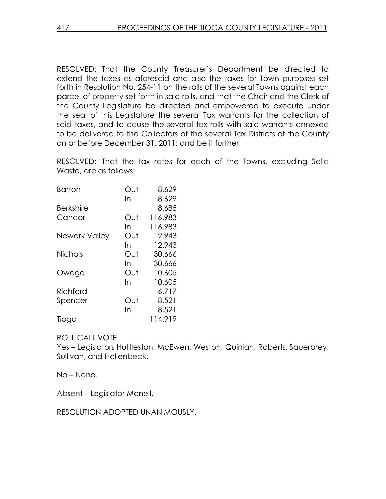RESOLVED: That the County Treasurer's Department be directed to extend the taxes as aforesaid and also the taxes for Town purposes set forth in Resolution No. 254-11 on the rolls of the several Towns against each parcel of property set forth in said rolls, and that the Chair and the Clerk of the County Legislature be directed and empowered to execute under the seal of this Legislature the several Tax warrants for the collection of said taxes, and to cause the several tax rolls with said warrants annexed to be delivered to the Collectors of the several Tax Districts of the County on or before December 31, 2011; and be it further

RESOLVED: That the tax rates for each of the Towns, excluding Solid Waste, are as follows:

| <b>Barton</b>    | Out | 8.629   |
|------------------|-----|---------|
|                  | In  | 8.629   |
| <b>Berkshire</b> |     | 8.685   |
| Candor           | Out | 116.983 |
|                  | In  | 116.983 |
| Newark Valley    | Out | 12.943  |
|                  | In  | 12.943  |
| <b>Nichols</b>   | Out | 30.666  |
|                  | In  | 30.666  |
| Owego            | Out | 10.605  |
|                  | In  | 10.605  |
| Richford         |     | 6.717   |
| Spencer          | Out | 8.521   |
|                  | In  | 8.521   |
| Tioga            |     | 114.919 |

## ROLL CALL VOTE

Yes – Legislators Huttleston, McEwen, Weston, Quinlan, Roberts, Sauerbrey, Sullivan, and Hollenbeck.

No – None.

Absent – Legislator Monell.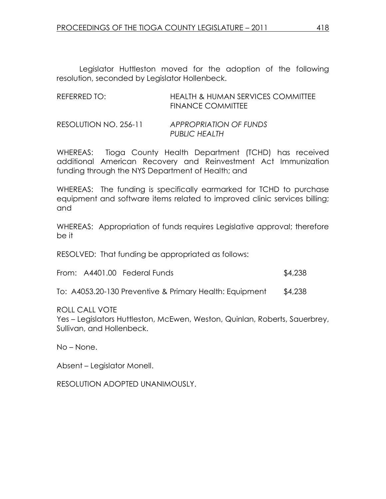Legislator Huttleston moved for the adoption of the following resolution, seconded by Legislator Hollenbeck.

| REFERRED TO:          | <b>HEALTH &amp; HUMAN SERVICES COMMITTEE</b><br><b>FINANCE COMMITTEE</b> |
|-----------------------|--------------------------------------------------------------------------|
| RESOLUTION NO. 256-11 | APPROPRIATION OF FUNDS<br>PUBLIC HEALTH                                  |

WHEREAS: Tioga County Health Department (TCHD) has received additional American Recovery and Reinvestment Act Immunization funding through the NYS Department of Health; and

WHEREAS: The funding is specifically earmarked for TCHD to purchase equipment and software items related to improved clinic services billing; and

WHEREAS: Appropriation of funds requires Legislative approval; therefore be it

RESOLVED: That funding be appropriated as follows:

From: A4401.00 Federal Funds \$4,238

To: A4053.20-130 Preventive & Primary Health: Equipment \$4,238

ROLL CALL VOTE

Yes – Legislators Huttleston, McEwen, Weston, Quinlan, Roberts, Sauerbrey, Sullivan, and Hollenbeck.

No – None.

Absent – Legislator Monell.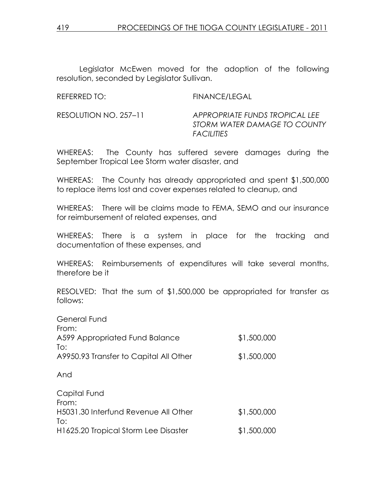Legislator McEwen moved for the adoption of the following resolution, seconded by Legislator Sullivan.

REFERRED TO: FINANCE/LEGAL

RESOLUTION NO. 257–11 APPROPRIATE FUNDS TROPICAL LEE STORM WATER DAMAGE TO COUNTY **FACILITIES** 

WHEREAS: The County has suffered severe damages during the September Tropical Lee Storm water disaster, and

WHEREAS: The County has already appropriated and spent \$1,500,000 to replace items lost and cover expenses related to cleanup, and

WHEREAS: There will be claims made to FEMA, SEMO and our insurance for reimbursement of related expenses, and

WHEREAS: There is a system in place for the tracking and documentation of these expenses, and

WHEREAS: Reimbursements of expenditures will take several months, therefore be it

RESOLVED: That the sum of \$1,500,000 be appropriated for transfer as follows:

| General Fund                           |             |
|----------------------------------------|-------------|
| From:                                  |             |
| A599 Appropriated Fund Balance         | \$1,500,000 |
| To:                                    |             |
| A9950.93 Transfer to Capital All Other | \$1,500,000 |
| And                                    |             |
| Capital Fund                           |             |
| From:                                  |             |
| H5031.30 Interfund Revenue All Other   | \$1,500,000 |
| To:                                    |             |
| H1625.20 Tropical Storm Lee Disaster   | \$1,500,000 |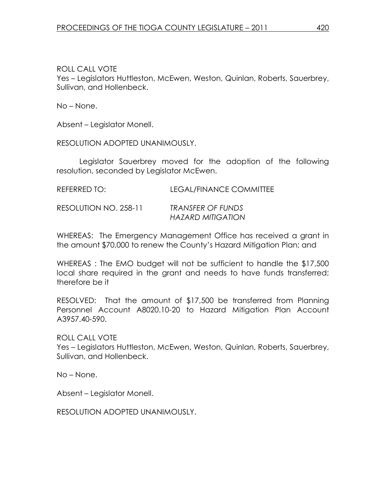Yes – Legislators Huttleston, McEwen, Weston, Quinlan, Roberts, Sauerbrey, Sullivan, and Hollenbeck.

No – None.

Absent – Legislator Monell.

RESOLUTION ADOPTED UNANIMOUSLY.

 Legislator Sauerbrey moved for the adoption of the following resolution, seconded by Legislator McEwen.

RESOLUTION NO. 258-11 TRANSFER OF FUNDS HAZARD MITIGATION

WHEREAS: The Emergency Management Office has received a grant in the amount \$70,000 to renew the County's Hazard Mitigation Plan; and

WHEREAS : The EMO budget will not be sufficient to handle the \$17,500 local share required in the grant and needs to have funds transferred; therefore be it

RESOLVED: That the amount of \$17,500 be transferred from Planning Personnel Account A8020.10-20 to Hazard Mitigation Plan Account A3957.40-590.

ROLL CALL VOTE

Yes – Legislators Huttleston, McEwen, Weston, Quinlan, Roberts, Sauerbrey, Sullivan, and Hollenbeck.

No – None.

Absent – Legislator Monell.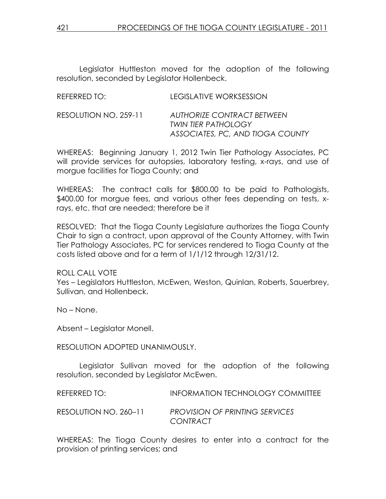Legislator Huttleston moved for the adoption of the following resolution, seconded by Legislator Hollenbeck.

| REFERRED TO:          | LEGISLATIVE WORKSESSION                                                                      |
|-----------------------|----------------------------------------------------------------------------------------------|
| RESOLUTION NO. 259-11 | AUTHORIZE CONTRACT BETWEEN<br><b>TWIN TIER PATHOLOGY</b><br>ASSOCIATES, PC, AND TIOGA COUNTY |

WHEREAS: Beginning January 1, 2012 Twin Tier Pathology Associates, PC will provide services for autopsies, laboratory testing, x-rays, and use of morgue facilities for Tioga County; and

WHEREAS: The contract calls for \$800.00 to be paid to Pathologists, \$400.00 for morgue fees, and various other fees depending on tests, xrays, etc. that are needed; therefore be it

RESOLVED: That the Tioga County Legislature authorizes the Tioga County Chair to sign a contract, upon approval of the County Attorney, with Twin Tier Pathology Associates, PC for services rendered to Tioga County at the costs listed above and for a term of 1/1/12 through 12/31/12.

ROLL CALL VOTE Yes – Legislators Huttleston, McEwen, Weston, Quinlan, Roberts, Sauerbrey, Sullivan, and Hollenbeck.

No – None.

Absent – Legislator Monell.

#### RESOLUTION ADOPTED UNANIMOUSLY.

 Legislator Sullivan moved for the adoption of the following resolution, seconded by Legislator McEwen.

REFERRED TO: INFORMATION TECHNOLOGY COMMITTEE RESOLUTION NO. 260–11 PROVISION OF PRINTING SERVICES

**CONTRACT** 

WHEREAS: The Tioga County desires to enter into a contract for the provision of printing services; and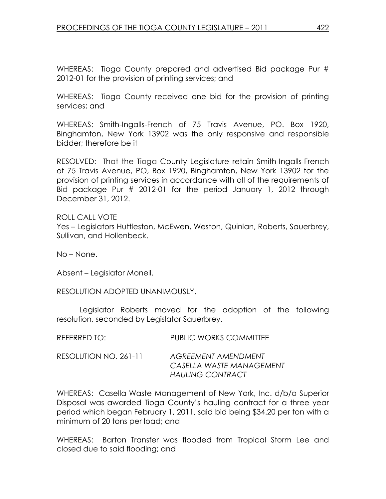WHEREAS: Tioga County prepared and advertised Bid package Pur # 2012-01 for the provision of printing services; and

WHEREAS: Tioga County received one bid for the provision of printing services; and

WHEREAS: Smith-Ingalls-French of 75 Travis Avenue, PO. Box 1920, Binghamton, New York 13902 was the only responsive and responsible bidder; therefore be it

RESOLVED: That the Tioga County Legislature retain Smith-Ingalls-French of 75 Travis Avenue, PO, Box 1920, Binghamton, New York 13902 for the provision of printing services in accordance with all of the requirements of Bid package Pur # 2012-01 for the period January 1, 2012 through December 31, 2012.

ROLL CALL VOTE Yes – Legislators Huttleston, McEwen, Weston, Quinlan, Roberts, Sauerbrey, Sullivan, and Hollenbeck.

No – None.

Absent – Legislator Monell.

RESOLUTION ADOPTED UNANIMOUSLY.

 Legislator Roberts moved for the adoption of the following resolution, seconded by Legislator Sauerbrey.

| REFERRED TO:          | <b>PUBLIC WORKS COMMITTEE</b>                                                     |
|-----------------------|-----------------------------------------------------------------------------------|
| RESOLUTION NO. 261-11 | <b>AGREEMENT AMENDMENT</b><br>CASELLA WASTE MANAGEMENT<br><b>HAULING CONTRACT</b> |

WHEREAS: Casella Waste Management of New York, Inc. d/b/a Superior Disposal was awarded Tioga County's hauling contract for a three year period which began February 1, 2011, said bid being \$34.20 per ton with a minimum of 20 tons per load; and

WHEREAS: Barton Transfer was flooded from Tropical Storm Lee and closed due to said flooding; and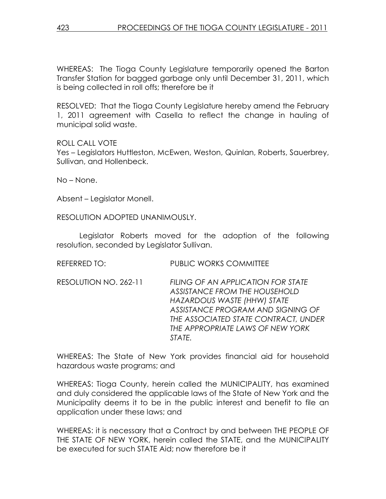WHEREAS: The Tioga County Legislature temporarily opened the Barton Transfer Station for bagged garbage only until December 31, 2011, which is being collected in roll offs; therefore be it

RESOLVED: That the Tioga County Legislature hereby amend the February 1, 2011 agreement with Casella to reflect the change in hauling of municipal solid waste.

ROLL CALL VOTE

Yes – Legislators Huttleston, McEwen, Weston, Quinlan, Roberts, Sauerbrey, Sullivan, and Hollenbeck.

No – None.

Absent – Legislator Monell.

RESOLUTION ADOPTED UNANIMOUSLY.

 Legislator Roberts moved for the adoption of the following resolution, seconded by Legislator Sullivan.

REFERRED TO: PUBLIC WORKS COMMITTEE

RESOLUTION NO. 262-11 FILING OF AN APPLICATION FOR STATE ASSISTANCE FROM THE HOUSEHOLD HAZARDOUS WASTE (HHW) STATE ASSISTANCE PROGRAM AND SIGNING OF THE ASSOCIATED STATE CONTRACT, UNDER THE APPROPRIATE LAWS OF NEW YORK STATE.

WHEREAS: The State of New York provides financial aid for household hazardous waste programs; and

WHEREAS: Tioga County, herein called the MUNICIPALITY, has examined and duly considered the applicable laws of the State of New York and the Municipality deems it to be in the public interest and benefit to file an application under these laws; and

WHEREAS: it is necessary that a Contract by and between THE PEOPLE OF THE STATE OF NEW YORK, herein called the STATE, and the MUNICIPALITY be executed for such STATE Aid; now therefore be it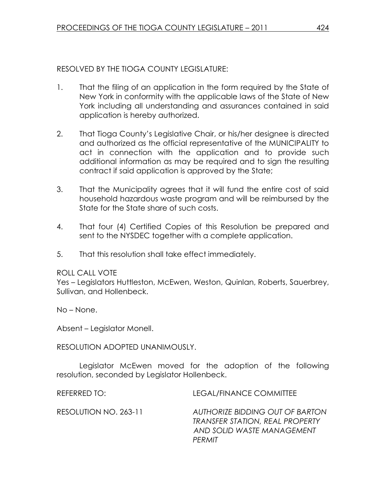## RESOLVED BY THE TIOGA COUNTY LEGISLATURE:

- 1. That the filing of an application in the form required by the State of New York in conformity with the applicable laws of the State of New York including all understanding and assurances contained in said application is hereby authorized.
- 2. That Tioga County's Legislative Chair, or his/her designee is directed and authorized as the official representative of the MUNICIPALITY to act in connection with the application and to provide such additional information as may be required and to sign the resulting contract if said application is approved by the State;
- 3. That the Municipality agrees that it will fund the entire cost of said household hazardous waste program and will be reimbursed by the State for the State share of such costs.
- 4. That four (4) Certified Copies of this Resolution be prepared and sent to the NYSDEC together with a complete application.
- 5. That this resolution shall take effect immediately.

## ROLL CALL VOTE

Yes – Legislators Huttleston, McEwen, Weston, Quinlan, Roberts, Sauerbrey, Sullivan, and Hollenbeck.

No – None.

Absent – Legislator Monell.

RESOLUTION ADOPTED UNANIMOUSLY.

 Legislator McEwen moved for the adoption of the following resolution, seconded by Legislator Hollenbeck.

REFERRED TO: LEGAL/FINANCE COMMITTEE RESOLUTION NO. 263-11 AUTHORIZE BIDDING OUT OF BARTON TRANSFER STATION, REAL PROPERTY AND SOLID WASTE MANAGEMENT PERMIT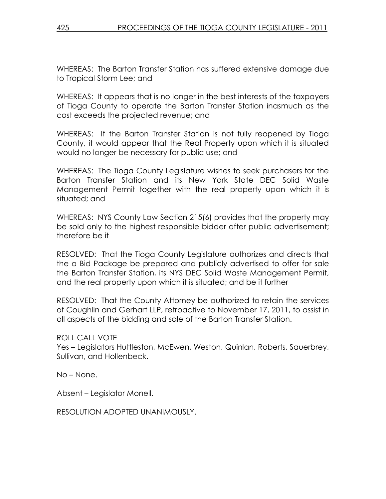WHEREAS: The Barton Transfer Station has suffered extensive damage due to Tropical Storm Lee; and

WHEREAS: It appears that is no longer in the best interests of the taxpayers of Tioga County to operate the Barton Transfer Station inasmuch as the cost exceeds the projected revenue; and

WHEREAS: If the Barton Transfer Station is not fully reopened by Tioga County, it would appear that the Real Property upon which it is situated would no longer be necessary for public use; and

WHEREAS: The Tioga County Legislature wishes to seek purchasers for the Barton Transfer Station and its New York State DEC Solid Waste Management Permit together with the real property upon which it is situated; and

WHEREAS: NYS County Law Section 215(6) provides that the property may be sold only to the highest responsible bidder after public advertisement; therefore be it

RESOLVED: That the Tioga County Legislature authorizes and directs that the a Bid Package be prepared and publicly advertised to offer for sale the Barton Transfer Station, its NYS DEC Solid Waste Management Permit, and the real property upon which it is situated; and be it further

RESOLVED: That the County Attorney be authorized to retain the services of Coughlin and Gerhart LLP, retroactive to November 17, 2011, to assist in all aspects of the bidding and sale of the Barton Transfer Station.

ROLL CALL VOTE

Yes – Legislators Huttleston, McEwen, Weston, Quinlan, Roberts, Sauerbrey, Sullivan, and Hollenbeck.

No – None.

Absent – Legislator Monell.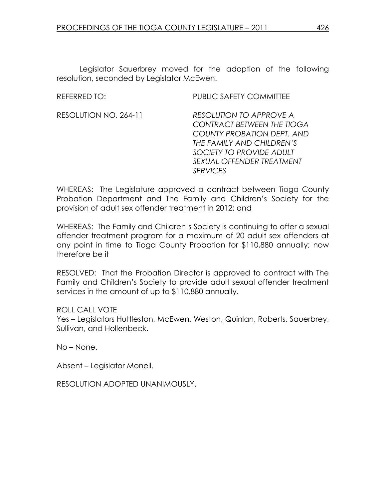Legislator Sauerbrey moved for the adoption of the following resolution, seconded by Legislator McEwen.

REFERRED TO: PUBLIC SAFETY COMMITTEE

RESOLUTION NO. 264-11 RESOLUTION TO APPROVE A CONTRACT BETWEEN THE TIOGA COUNTY PROBATION DEPT. AND THE FAMILY AND CHILDREN'S SOCIETY TO PROVIDE ADULT SEXUAL OFFENDER TREATMENT **SERVICES** 

WHEREAS: The Legislature approved a contract between Tioga County Probation Department and The Family and Children's Society for the provision of adult sex offender treatment in 2012; and

WHEREAS: The Family and Children's Society is continuing to offer a sexual offender treatment program for a maximum of 20 adult sex offenders at any point in time to Tioga County Probation for \$110,880 annually; now therefore be it

RESOLVED: That the Probation Director is approved to contract with The Family and Children's Society to provide adult sexual offender treatment services in the amount of up to \$110,880 annually.

ROLL CALL VOTE

Yes – Legislators Huttleston, McEwen, Weston, Quinlan, Roberts, Sauerbrey, Sullivan, and Hollenbeck.

No – None.

Absent – Legislator Monell.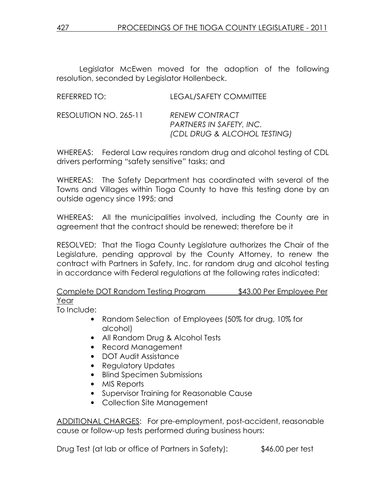Legislator McEwen moved for the adoption of the following resolution, seconded by Legislator Hollenbeck.

| REFERRED TO: | <b>LEGAL/SAFETY COMMITTEE</b> |
|--------------|-------------------------------|
| DFA          | P <sub>1</sub>                |

#### RESOLUTION NO. 265-11 RENEW CONTRACT PARTNERS IN SAFETY, INC. (CDL DRUG & ALCOHOL TESTING)

WHEREAS: Federal Law requires random drug and alcohol testing of CDL drivers performing "safety sensitive" tasks; and

WHEREAS: The Safety Department has coordinated with several of the Towns and Villages within Tioga County to have this testing done by an outside agency since 1995; and

WHEREAS: All the municipalities involved, including the County are in agreement that the contract should be renewed; therefore be it

RESOLVED: That the Tioga County Legislature authorizes the Chair of the Legislature, pending approval by the County Attorney, to renew the contract with Partners in Safety, Inc. for random drug and alcohol testing in accordance with Federal regulations at the following rates indicated:

Complete DOT Random Testing Program \$43.00 Per Employee Per Year

To Include:

- Random Selection of Employees (50% for drug, 10% for alcohol)
- All Random Drug & Alcohol Tests
- Record Management
- DOT Audit Assistance
- Requiatory Updates
- Blind Specimen Submissions
- MIS Reports
- Supervisor Training for Reasonable Cause
- Collection Site Management

ADDITIONAL CHARGES: For pre-employment, post-accident, reasonable cause or follow-up tests performed during business hours:

Drug Test (at lab or office of Partners in Safety): \$46.00 per test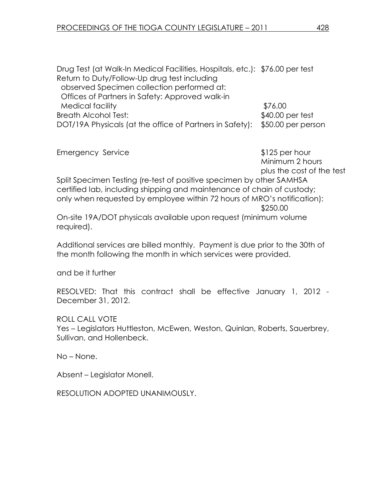Drug Test (at Walk-In Medical Facilities, Hospitals, etc.): \$76.00 per test Return to Duty/Follow-Up drug test including observed Specimen collection performed at: Offices of Partners in Safety: Approved walk-in Medical facility  $$76.00$ Breath Alcohol Test:  $$40.00$  per test DOT/19A Physicals (at the office of Partners in Safety): \$50.00 per person

| <b>Emergency Service</b>                                                | $$125$ per hour           |
|-------------------------------------------------------------------------|---------------------------|
|                                                                         | Minimum 2 hours           |
|                                                                         | plus the cost of the test |
| Split Specimen Testing (re-test of positive specimen by other SAMHSA    |                           |
| certified lab, including shipping and maintenance of chain of custody;  |                           |
| only when requested by employee within 72 hours of MRO's notification): |                           |
|                                                                         | \$250.00                  |
| On-site 19A/DOT physicals available upon reauest (minimum volume        |                           |

iable upon request (minimum volur required).

Additional services are billed monthly. Payment is due prior to the 30th of the month following the month in which services were provided.

and be it further

RESOLVED: That this contract shall be effective January 1, 2012 - December 31, 2012.

ROLL CALL VOTE Yes – Legislators Huttleston, McEwen, Weston, Quinlan, Roberts, Sauerbrey, Sullivan, and Hollenbeck.

No – None.

Absent – Legislator Monell.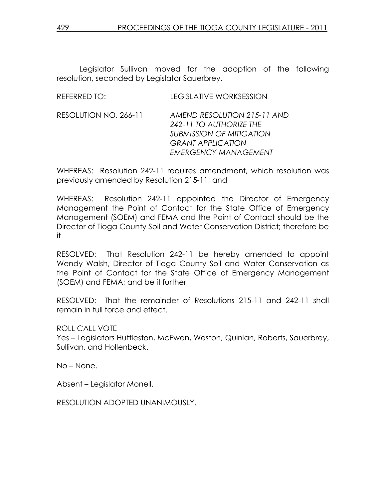Legislator Sullivan moved for the adoption of the following resolution, seconded by Legislator Sauerbrey.

| <b>REFERRED TO:</b>   | <b>LEGISLATIVE WORKSESSION</b>                                                                                                                       |
|-----------------------|------------------------------------------------------------------------------------------------------------------------------------------------------|
| RESOLUTION NO. 266-11 | AMEND RESOLUTION 215-11 AND<br>242-11 TO AUTHORIZE THE<br><b>SUBMISSION OF MITIGATION</b><br><b>GRANT APPLICATION</b><br><b>EMERGENCY MANAGEMENT</b> |

WHEREAS: Resolution 242-11 requires amendment, which resolution was previously amended by Resolution 215-11; and

WHEREAS: Resolution 242-11 appointed the Director of Emergency Management the Point of Contact for the State Office of Emergency Management (SOEM) and FEMA and the Point of Contact should be the Director of Tioga County Soil and Water Conservation District; therefore be it

RESOLVED: That Resolution 242-11 be hereby amended to appoint Wendy Walsh, Director of Tioga County Soil and Water Conservation as the Point of Contact for the State Office of Emergency Management (SOEM) and FEMA; and be it further

RESOLVED: That the remainder of Resolutions 215-11 and 242-11 shall remain in full force and effect.

ROLL CALL VOTE

Yes – Legislators Huttleston, McEwen, Weston, Quinlan, Roberts, Sauerbrey, Sullivan, and Hollenbeck.

No – None.

Absent – Legislator Monell.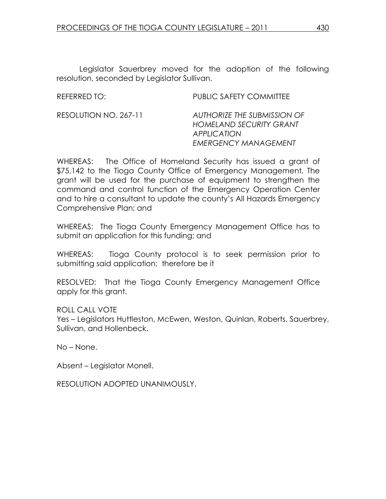Legislator Sauerbrey moved for the adoption of the following resolution, seconded by Legislator Sullivan.

REFERRED TO: PUBLIC SAFETY COMMITTEE

RESOLUTION NO. 267-11 AUTHORIZE THE SUBMISSION OF HOMELAND SECURITY GRANT **APPLICATION** EMERGENCY MANAGEMENT

WHEREAS: The Office of Homeland Security has issued a grant of \$75,142 to the Tioga County Office of Emergency Management. The grant will be used for the purchase of equipment to strengthen the command and control function of the Emergency Operation Center and to hire a consultant to update the county's All Hazards Emergency Comprehensive Plan; and

WHEREAS: The Tioga County Emergency Management Office has to submit an application for this funding; and

WHEREAS: Tioga County protocol is to seek permission prior to submitting said application; therefore be it

RESOLVED: That the Tioga County Emergency Management Office apply for this grant.

ROLL CALL VOTE Yes – Legislators Huttleston, McEwen, Weston, Quinlan, Roberts, Sauerbrey, Sullivan, and Hollenbeck.

No – None.

Absent – Legislator Monell.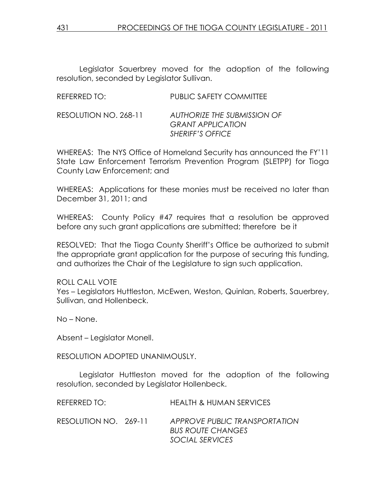Legislator Sauerbrey moved for the adoption of the following resolution, seconded by Legislator Sullivan.

| REFERRED TO:          | PUBLIC SAFETY COMMITTEE                                                            |
|-----------------------|------------------------------------------------------------------------------------|
| RESOLUTION NO. 268-11 | AUTHORIZE THE SUBMISSION OF<br><b>GRANT APPLICATION</b><br><b>SHERIFF'S OFFICE</b> |

WHEREAS: The NYS Office of Homeland Security has announced the FY'11 State Law Enforcement Terrorism Prevention Program (SLETPP) for Tioga County Law Enforcement; and

WHEREAS: Applications for these monies must be received no later than December 31, 2011; and

WHEREAS: County Policy #47 requires that a resolution be approved before any such grant applications are submitted; therefore be it

RESOLVED: That the Tioga County Sheriff's Office be authorized to submit the appropriate grant application for the purpose of securing this funding, and authorizes the Chair of the Legislature to sign such application.

ROLL CALL VOTE Yes – Legislators Huttleston, McEwen, Weston, Quinlan, Roberts, Sauerbrey, Sullivan, and Hollenbeck.

No – None.

Absent – Legislator Monell.

RESOLUTION ADOPTED UNANIMOUSLY.

 Legislator Huttleston moved for the adoption of the following resolution, seconded by Legislator Hollenbeck.

| REFERRED TO:          | <b>HEALTH &amp; HUMAN SERVICES</b>                                           |
|-----------------------|------------------------------------------------------------------------------|
| RESOLUTION NO. 269-11 | APPROVE PUBLIC TRANSPORTATION<br><b>BUS ROUTE CHANGES</b><br>SOCIAL SERVICES |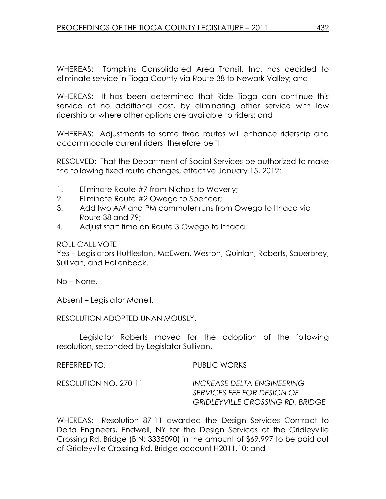WHEREAS: Tompkins Consolidated Area Transit, Inc. has decided to eliminate service in Tioga County via Route 38 to Newark Valley; and

WHEREAS: It has been determined that Ride Tioga can continue this service at no additional cost, by eliminating other service with low ridership or where other options are available to riders; and

WHEREAS: Adjustments to some fixed routes will enhance ridership and accommodate current riders; therefore be it

RESOLVED: That the Department of Social Services be authorized to make the following fixed route changes, effective January 15, 2012:

- 1. Eliminate Route #7 from Nichols to Waverly;
- 2. Eliminate Route #2 Owego to Spencer;
- 3. Add two AM and PM commuter runs from Owego to Ithaca via Route 38 and 79;
- 4. Adjust start time on Route 3 Owego to Ithaca.

## ROLL CALL VOTE

Yes – Legislators Huttleston, McEwen, Weston, Quinlan, Roberts, Sauerbrey, Sullivan, and Hollenbeck.

No – None.

Absent – Legislator Monell.

RESOLUTION ADOPTED UNANIMOUSLY.

 Legislator Roberts moved for the adoption of the following resolution, seconded by Legislator Sullivan.

| REFERRED TO:          | PUBLIC WORKS                                                                                               |
|-----------------------|------------------------------------------------------------------------------------------------------------|
| RESOLUTION NO. 270-11 | <b>INCREASE DELTA ENGINEERING</b><br>SERVICES FEE FOR DESIGN OF<br><b>GRIDLEYVILLE CROSSING RD. BRIDGE</b> |

WHEREAS: Resolution 87-11 awarded the Design Services Contract to Delta Engineers, Endwell, NY for the Design Services of the Gridleyville Crossing Rd. Bridge (BIN: 3335090) in the amount of \$69,997 to be paid out of Gridleyville Crossing Rd. Bridge account H2011.10; and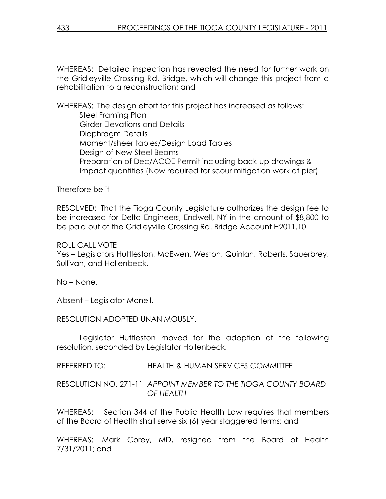WHEREAS: Detailed inspection has revealed the need for further work on the Gridleyville Crossing Rd. Bridge, which will change this project from a rehabilitation to a reconstruction; and

WHEREAS: The design effort for this project has increased as follows: Steel Framing Plan Girder Elevations and Details Diaphragm Details Moment/sheer tables/Design Load Tables Design of New Steel Beams Preparation of Dec/ACOE Permit including back-up drawings & Impact quantities (Now required for scour mitigation work at pier)

Therefore be it

RESOLVED: That the Tioga County Legislature authorizes the design fee to be increased for Delta Engineers, Endwell, NY in the amount of \$8,800 to be paid out of the Gridleyville Crossing Rd. Bridge Account H2011.10.

## ROLL CALL VOTE

Yes – Legislators Huttleston, McEwen, Weston, Quinlan, Roberts, Sauerbrey, Sullivan, and Hollenbeck.

No – None.

Absent – Legislator Monell.

RESOLUTION ADOPTED UNANIMOUSLY.

 Legislator Huttleston moved for the adoption of the following resolution, seconded by Legislator Hollenbeck.

REFERRED TO: HEALTH & HUMAN SERVICES COMMITTEE

RESOLUTION NO. 271-11 APPOINT MEMBER TO THE TIOGA COUNTY BOARD OF HEALTH

WHEREAS: Section 344 of the Public Health Law requires that members of the Board of Health shall serve six (6) year staggered terms; and

WHEREAS: Mark Corey, MD, resigned from the Board of Health 7/31/2011; and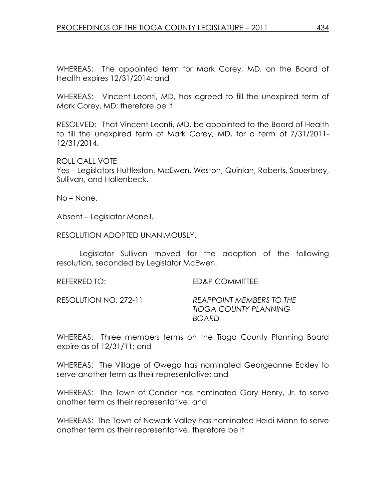WHEREAS: The appointed term for Mark Corey, MD, on the Board of Health expires 12/31/2014; and

WHEREAS: Vincent Leonti, MD, has agreed to fill the unexpired term of Mark Corey, MD; therefore be it

RESOLVED: That Vincent Leonti, MD, be appointed to the Board of Health to fill the unexpired term of Mark Corey, MD, for a term of 7/31/2011- 12/31/2014.

ROLL CALL VOTE

Yes – Legislators Huttleston, McEwen, Weston, Quinlan, Roberts, Sauerbrey, Sullivan, and Hollenbeck.

No – None.

Absent – Legislator Monell.

RESOLUTION ADOPTED UNANIMOUSLY.

 Legislator Sullivan moved for the adoption of the following resolution, seconded by Legislator McEwen.

REFERRED TO: ED&P COMMITTEE

RESOLUTION NO. 272-11 REAPPOINT MEMBERS TO THE TIOGA COUNTY PLANNING BOARD

WHEREAS: Three members terms on the Tioga County Planning Board expire as of 12/31/11; and

WHEREAS: The Village of Owego has nominated Georgeanne Eckley to serve another term as their representative; and

WHEREAS: The Town of Candor has nominated Gary Henry, Jr. to serve another term as their representative; and

WHEREAS: The Town of Newark Valley has nominated Heidi Mann to serve another term as their representative, therefore be it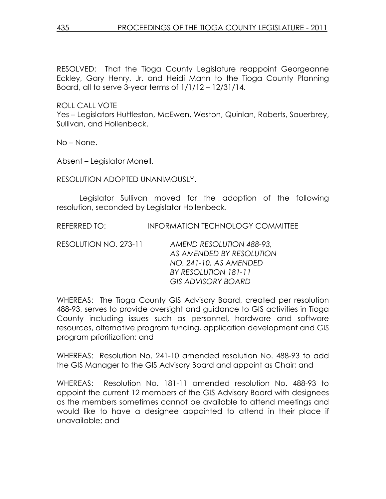RESOLVED: That the Tioga County Legislature reappoint Georgeanne Eckley, Gary Henry, Jr. and Heidi Mann to the Tioga County Planning Board, all to serve 3-year terms of  $1/1/12 - 12/31/14$ .

ROLL CALL VOTE

Yes – Legislators Huttleston, McEwen, Weston, Quinlan, Roberts, Sauerbrey, Sullivan, and Hollenbeck.

No – None.

Absent – Legislator Monell.

RESOLUTION ADOPTED UNANIMOUSLY.

 Legislator Sullivan moved for the adoption of the following resolution, seconded by Legislator Hollenbeck.

REFERRED TO: INFORMATION TECHNOLOGY COMMITTEE

RESOLUTION NO. 273-11 AMEND RESOLUTION 488-93, AS AMENDED BY RESOLUTION NO. 241-10, AS AMENDED BY RESOLUTION 181-11 GIS ADVISORY BOARD

WHEREAS: The Tioga County GIS Advisory Board, created per resolution 488-93, serves to provide oversight and guidance to GIS activities in Tioga County including issues such as personnel, hardware and software resources, alternative program funding, application development and GIS program prioritization; and

WHEREAS: Resolution No. 241-10 amended resolution No. 488-93 to add the GIS Manager to the GIS Advisory Board and appoint as Chair; and

WHEREAS: Resolution No. 181-11 amended resolution No. 488-93 to appoint the current 12 members of the GIS Advisory Board with designees as the members sometimes cannot be available to attend meetings and would like to have a designee appointed to attend in their place if unavailable; and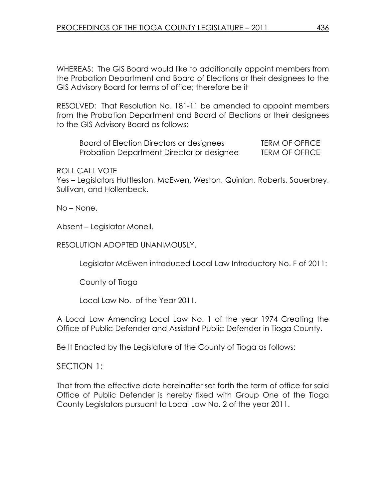WHEREAS: The GIS Board would like to additionally appoint members from the Probation Department and Board of Elections or their designees to the GIS Advisory Board for terms of office; therefore be it

RESOLVED: That Resolution No. 181-11 be amended to appoint members from the Probation Department and Board of Elections or their designees to the GIS Advisory Board as follows:

Board of Election Directors or designees TERM OF OFFICE Probation Department Director or designee TERM OF OFFICE

#### ROLL CALL VOTE

Yes – Legislators Huttleston, McEwen, Weston, Quinlan, Roberts, Sauerbrey, Sullivan, and Hollenbeck.

No – None.

Absent – Legislator Monell.

#### RESOLUTION ADOPTED UNANIMOUSLY.

Legislator McEwen introduced Local Law Introductory No. F of 2011:

County of Tioga

Local Law No. of the Year 2011.

A Local Law Amending Local Law No. 1 of the year 1974 Creating the Office of Public Defender and Assistant Public Defender in Tioga County.

Be It Enacted by the Legislature of the County of Tioga as follows:

## SECTION 1:

That from the effective date hereinafter set forth the term of office for said Office of Public Defender is hereby fixed with Group One of the Tioga County Legislators pursuant to Local Law No. 2 of the year 2011.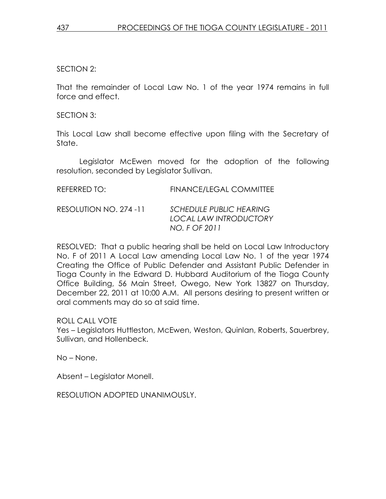SECTION 2:

That the remainder of Local Law No. 1 of the year 1974 remains in full force and effect.

SECTION 3:

This Local Law shall become effective upon filing with the Secretary of State.

 Legislator McEwen moved for the adoption of the following resolution, seconded by Legislator Sullivan.

| REFERRED TO:           | <b>FINANCE/LEGAL COMMITTEE</b>                                                   |
|------------------------|----------------------------------------------------------------------------------|
| RESOLUTION NO. 274 -11 | <b>SCHEDULE PUBLIC HEARING</b><br><b>LOCAL LAW INTRODUCTORY</b><br>NO. F OF 2011 |

RESOLVED: That a public hearing shall be held on Local Law Introductory No. F of 2011 A Local Law amending Local Law No. 1 of the year 1974 Creating the Office of Public Defender and Assistant Public Defender in Tioga County in the Edward D. Hubbard Auditorium of the Tioga County Office Building, 56 Main Street, Owego, New York 13827 on Thursday, December 22, 2011 at 10:00 A.M. All persons desiring to present written or oral comments may do so at said time.

ROLL CALL VOTE

Yes – Legislators Huttleston, McEwen, Weston, Quinlan, Roberts, Sauerbrey, Sullivan, and Hollenbeck.

No – None.

Absent – Legislator Monell.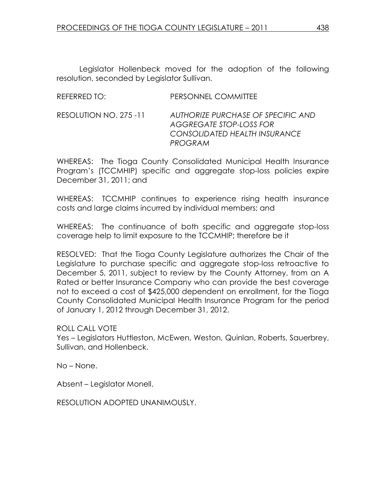Legislator Hollenbeck moved for the adoption of the following resolution, seconded by Legislator Sullivan.

| REFERRED TO:           | PERSONNEL COMMITTEE               |
|------------------------|-----------------------------------|
| RESOLUTION NO. 275 -11 | <b>AUTHORIZE PURCHASE OF SPEC</b> |

#### CIFIC AND. AGGREGATE STOP-LOSS FOR CONSOLIDATED HEALTH INSURANCE PROGRAM

WHEREAS: The Tioga County Consolidated Municipal Health Insurance Program's (TCCMHIP) specific and aggregate stop-loss policies expire December 31, 2011; and

WHEREAS: TCCMHIP continues to experience rising health insurance costs and large claims incurred by individual members; and

WHEREAS: The continuance of both specific and aggregate stop-loss coverage help to limit exposure to the TCCMHIP; therefore be it

RESOLVED: That the Tioga County Legislature authorizes the Chair of the Legislature to purchase specific and aggregate stop-loss retroactive to December 5, 2011, subject to review by the County Attorney, from an A Rated or better Insurance Company who can provide the best coverage not to exceed a cost of \$425,000 dependent on enrollment, for the Tioga County Consolidated Municipal Health Insurance Program for the period of January 1, 2012 through December 31, 2012.

## ROLL CALL VOTE

Yes – Legislators Huttleston, McEwen, Weston, Quinlan, Roberts, Sauerbrey, Sullivan, and Hollenbeck.

No – None.

Absent – Legislator Monell.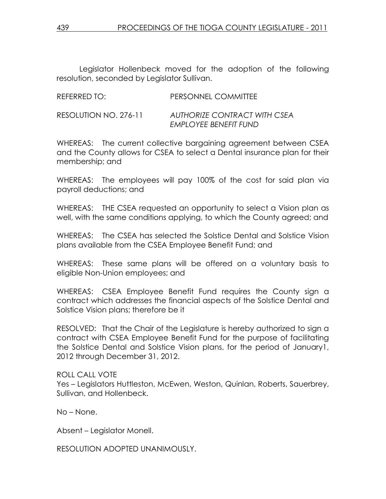Legislator Hollenbeck moved for the adoption of the following resolution, seconded by Legislator Sullivan.

| REFERRED TO:          | PERSONNEL COMMITTEE                                   |
|-----------------------|-------------------------------------------------------|
| RESOLUTION NO. 276-11 | AUTHORIZE CONTRACT WITH CSEA<br>EMPLOYEE BENEFIT FUND |

WHEREAS: The current collective bargaining agreement between CSEA and the County allows for CSEA to select a Dental insurance plan for their membership; and

WHEREAS: The employees will pay 100% of the cost for said plan via payroll deductions; and

WHEREAS: THE CSEA requested an opportunity to select a Vision plan as well, with the same conditions applying, to which the County agreed; and

WHEREAS: The CSEA has selected the Solstice Dental and Solstice Vision plans available from the CSEA Employee Benefit Fund; and

WHEREAS: These same plans will be offered on a voluntary basis to eligible Non-Union employees; and

WHEREAS: CSEA Employee Benefit Fund requires the County sign a contract which addresses the financial aspects of the Solstice Dental and Solstice Vision plans; therefore be it

RESOLVED: That the Chair of the Legislature is hereby authorized to sign a contract with CSEA Employee Benefit Fund for the purpose of facilitating the Solstice Dental and Solstice Vision plans, for the period of January1, 2012 through December 31, 2012.

ROLL CALL VOTE

Yes – Legislators Huttleston, McEwen, Weston, Quinlan, Roberts, Sauerbrey, Sullivan, and Hollenbeck.

No – None.

Absent – Legislator Monell.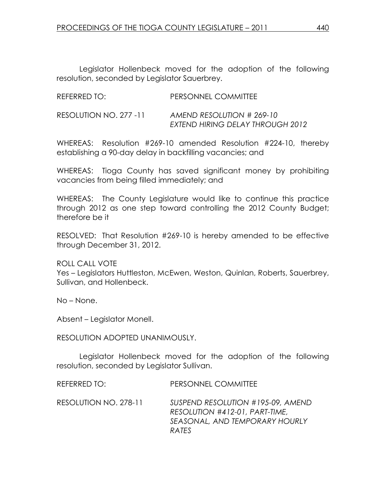Legislator Hollenbeck moved for the adoption of the following resolution, seconded by Legislator Sauerbrey.

| REFERRED TO:           | PERSONNEL COMMITTEE                                           |
|------------------------|---------------------------------------------------------------|
| RESOLUTION NO. 277 -11 | AMEND RESOLUTION # 269-10<br>EXTEND HIRING DELAY THROUGH 2012 |

WHEREAS: Resolution #269-10 amended Resolution #224-10, thereby establishing a 90-day delay in backfilling vacancies; and

WHEREAS: Tioga County has saved significant money by prohibiting vacancies from being filled immediately; and

WHEREAS: The County Legislature would like to continue this practice through 2012 as one step toward controlling the 2012 County Budget; therefore be it

RESOLVED: That Resolution #269-10 is hereby amended to be effective through December 31, 2012.

ROLL CALL VOTE Yes – Legislators Huttleston, McEwen, Weston, Quinlan, Roberts, Sauerbrey, Sullivan, and Hollenbeck.

No – None.

Absent – Legislator Monell.

RESOLUTION ADOPTED UNANIMOUSLY.

 Legislator Hollenbeck moved for the adoption of the following resolution, seconded by Legislator Sullivan.

REFERRED TO: PERSONNEL COMMITTEE RESOLUTION NO. 278-11 SUSPEND RESOLUTION #195-09, AMEND RESOLUTION #412-01, PART-TIME, SEASONAL, AND TEMPORARY HOURLY RATES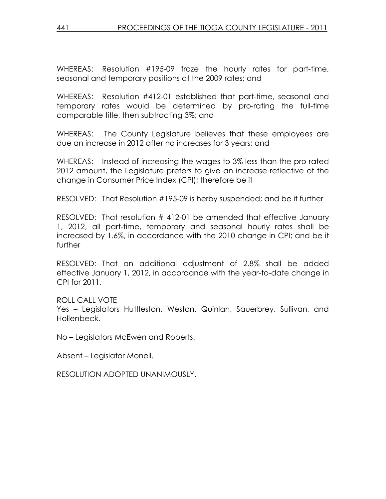WHEREAS: Resolution #195-09 froze the hourly rates for part-time, seasonal and temporary positions at the 2009 rates; and

WHEREAS: Resolution #412-01 established that part-time, seasonal and temporary rates would be determined by pro-rating the full-time comparable title, then subtracting 3%; and

WHEREAS: The County Legislature believes that these employees are due an increase in 2012 after no increases for 3 years; and

WHEREAS: Instead of increasing the wages to 3% less than the pro-rated 2012 amount, the Legislature prefers to give an increase reflective of the change in Consumer Price Index (CPI); therefore be it

RESOLVED: That Resolution #195-09 is herby suspended; and be it further

RESOLVED: That resolution # 412-01 be amended that effective January 1, 2012, all part-time, temporary and seasonal hourly rates shall be increased by 1.6%, in accordance with the 2010 change in CPI; and be it further

RESOLVED: That an additional adjustment of 2.8% shall be added effective January 1, 2012, in accordance with the year-to-date change in CPI for 2011.

## ROLL CALL VOTE

Yes – Legislators Huttleston, Weston, Quinlan, Sauerbrey, Sullivan, and Hollenbeck.

No – Legislators McEwen and Roberts.

Absent – Legislator Monell.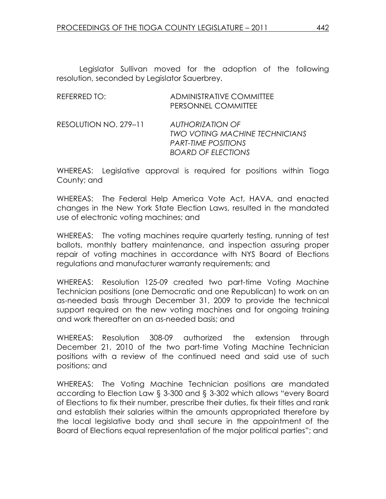Legislator Sullivan moved for the adoption of the following resolution, seconded by Legislator Sauerbrey.

| REFERRED TO:          | ADMINISTRATIVE COMMITTEE<br>PERSONNEL COMMITTEE                                                                      |
|-----------------------|----------------------------------------------------------------------------------------------------------------------|
| RESOLUTION NO. 279-11 | AUTHORIZATION OF<br><b>TWO VOTING MACHINE TECHNICIANS</b><br><b>PART-TIME POSITIONS</b><br><b>BOARD OF ELECTIONS</b> |

WHEREAS: Legislative approval is required for positions within Tioga County; and

WHEREAS: The Federal Help America Vote Act, HAVA, and enacted changes in the New York State Election Laws, resulted in the mandated use of electronic voting machines; and

WHEREAS: The voting machines require quarterly testing, running of test ballots, monthly battery maintenance, and inspection assuring proper repair of voting machines in accordance with NYS Board of Elections regulations and manufacturer warranty requirements; and

WHEREAS: Resolution 125-09 created two part-time Voting Machine Technician positions (one Democratic and one Republican) to work on an as-needed basis through December 31, 2009 to provide the technical support required on the new voting machines and for ongoing training and work thereafter on an as-needed basis; and

WHEREAS: Resolution 308-09 authorized the extension through December 21, 2010 of the two part-time Voting Machine Technician positions with a review of the continued need and said use of such positions; and

WHEREAS: The Voting Machine Technician positions are mandated according to Election Law § 3-300 and § 3-302 which allows "every Board of Elections to fix their number, prescribe their duties, fix their titles and rank and establish their salaries within the amounts appropriated therefore by the local legislative body and shall secure in the appointment of the Board of Elections equal representation of the major political parties"; and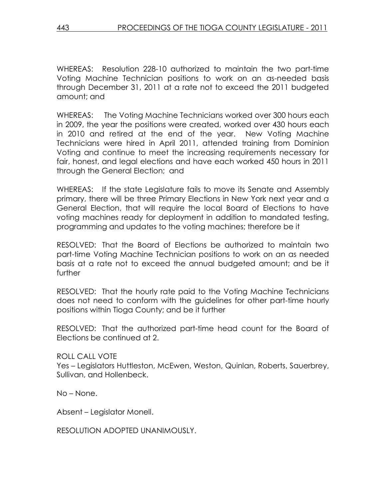WHEREAS: Resolution 228-10 authorized to maintain the two part-time Voting Machine Technician positions to work on an as-needed basis through December 31, 2011 at a rate not to exceed the 2011 budgeted amount; and

WHEREAS: The Voting Machine Technicians worked over 300 hours each in 2009, the year the positions were created, worked over 430 hours each in 2010 and retired at the end of the year. New Voting Machine Technicians were hired in April 2011, attended training from Dominion Voting and continue to meet the increasing requirements necessary for fair, honest, and legal elections and have each worked 450 hours in 2011 through the General Election; and

WHEREAS: If the state Legislature fails to move its Senate and Assembly primary, there will be three Primary Elections in New York next year and a General Election, that will require the local Board of Elections to have voting machines ready for deployment in addition to mandated testing, programming and updates to the voting machines; therefore be it

RESOLVED: That the Board of Elections be authorized to maintain two part-time Voting Machine Technician positions to work on an as needed basis at a rate not to exceed the annual budgeted amount; and be it further

RESOLVED: That the hourly rate paid to the Voting Machine Technicians does not need to conform with the guidelines for other part-time hourly positions within Tioga County; and be it further

RESOLVED: That the authorized part-time head count for the Board of Elections be continued at 2.

ROLL CALL VOTE Yes – Legislators Huttleston, McEwen, Weston, Quinlan, Roberts, Sauerbrey, Sullivan, and Hollenbeck.

No – None.

Absent – Legislator Monell.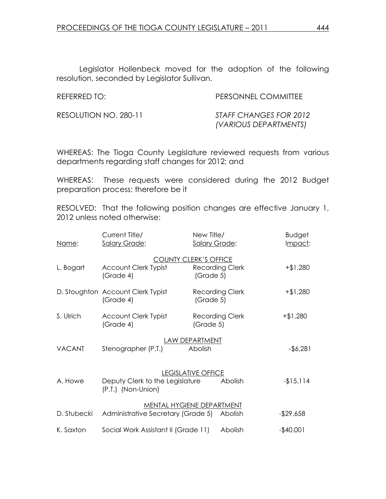Legislator Hollenbeck moved for the adoption of the following resolution, seconded by Legislator Sullivan.

REFERRED TO: PERSONNEL COMMITTEE

RESOLUTION NO. 280-11 STAFF CHANGES FOR 2012 (VARIOUS DEPARTMENTS)

WHEREAS: The Tioga County Legislature reviewed requests from various departments regarding staff changes for 2012; and

WHEREAS: These requests were considered during the 2012 Budget preparation process; therefore be it

RESOLVED: That the following position changes are effective January 1, 2012 unless noted otherwise:

| Name:                                                                                                    | Current Title/<br><b>Salary Grade:</b>         | New Title/<br><b>Salary Grade:</b>                                  | <b>Budget</b><br>Impact: |
|----------------------------------------------------------------------------------------------------------|------------------------------------------------|---------------------------------------------------------------------|--------------------------|
| L. Bogart                                                                                                | <b>Account Clerk Typist</b><br>(Grade 4)       | <b>COUNTY CLERK'S OFFICE</b><br><b>Recording Clerk</b><br>(Grade 5) | $+ $1,280$               |
|                                                                                                          | D. Stoughton Account Clerk Typist<br>(Grade 4) | <b>Recording Clerk</b><br>(Grade 5)                                 | $+ $1,280$               |
| S. Ulrich                                                                                                | <b>Account Clerk Typist</b><br>(Grade 4)       | <b>Recording Clerk</b><br>(Grade 5)                                 | $+ $1,280$               |
| <b>VACANT</b>                                                                                            | Stenographer (P.T.)                            | LAW DEPARTMENT<br>Abolish                                           | $-$ \$6,281              |
| <b>LEGISLATIVE OFFICE</b><br>Deputy Clerk to the Legislature<br>A. Howe<br>Abolish<br>(P.T.) (Non-Union) |                                                |                                                                     | $-15,114$                |
| D. Stubecki                                                                                              | Administrative Secretary (Grade 5) Abolish     | <b>MENTAL HYGIENE DEPARTMENT</b>                                    | $-$29,658$               |
| K. Saxton                                                                                                | Social Work Assistant II (Grade 11)            | Abolish                                                             | $-$40,001$               |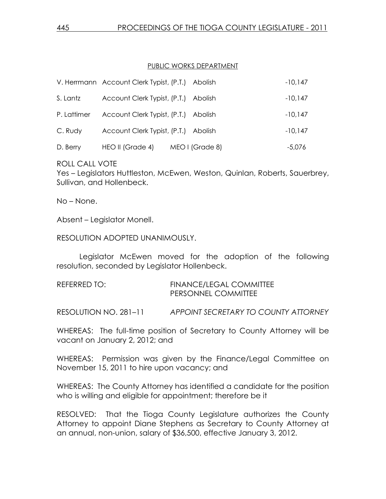#### PUBLIC WORKS DEPARTMENT

|             | V. Herrmann Account Clerk Typist, (P.T.) Abolish |                 | $-10,147$ |
|-------------|--------------------------------------------------|-----------------|-----------|
| S. Lantz    | Account Clerk Typist, (P.T.) Abolish             |                 | $-10,147$ |
| P. Lattimer | Account Clerk Typist, (P.T.) Abolish             |                 | $-10,147$ |
| C. Rudy     | Account Clerk Typist, (P.T.) Abolish             |                 | $-10.147$ |
| D. Berry    | HEO II (Grade 4)                                 | MEO I (Grade 8) | $-5,076$  |

ROLL CALL VOTE

Yes – Legislators Huttleston, McEwen, Weston, Quinlan, Roberts, Sauerbrey, Sullivan, and Hollenbeck.

No – None.

Absent – Legislator Monell.

RESOLUTION ADOPTED UNANIMOUSLY.

 Legislator McEwen moved for the adoption of the following resolution, seconded by Legislator Hollenbeck.

| REFERRED TO: | <b>FINANCE/LEGAL COMMITTEE</b> |
|--------------|--------------------------------|
|              | <b>PERSONNEL COMMITTEE</b>     |

RESOLUTION NO. 281-11 APPOINT SECRETARY TO COUNTY ATTORNEY

WHEREAS: The full-time position of Secretary to County Attorney will be vacant on January 2, 2012; and

WHEREAS: Permission was given by the Finance/Legal Committee on November 15, 2011 to hire upon vacancy; and

WHEREAS: The County Attorney has identified a candidate for the position who is willing and eligible for appointment; therefore be it

RESOLVED: That the Tioga County Legislature authorizes the County Attorney to appoint Diane Stephens as Secretary to County Attorney at an annual, non-union, salary of \$36,500, effective January 3, 2012.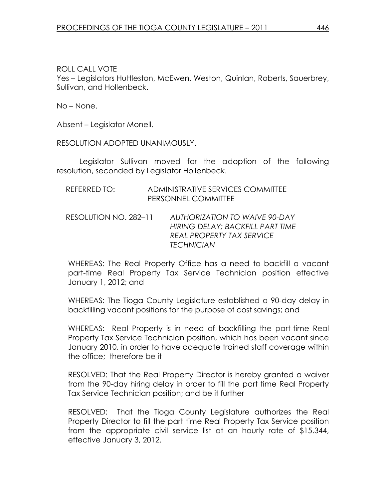Yes – Legislators Huttleston, McEwen, Weston, Quinlan, Roberts, Sauerbrey, Sullivan, and Hollenbeck.

No – None.

Absent – Legislator Monell.

RESOLUTION ADOPTED UNANIMOUSLY.

 Legislator Sullivan moved for the adoption of the following resolution, seconded by Legislator Hollenbeck.

| REFERRED TO:          | ADMINISTRATIVE SERVICES COMMITTEE<br>PERSONNEL COMMITTEE                                                                          |
|-----------------------|-----------------------------------------------------------------------------------------------------------------------------------|
| RESOLUTION NO. 282-11 | <b>AUTHORIZATION TO WAIVE 90-DAY</b><br>HIRING DELAY: BACKFILL PART TIME<br><b>REAL PROPERTY TAX SERVICE</b><br><b>TECHNICIAN</b> |

WHEREAS: The Real Property Office has a need to backfill a vacant part-time Real Property Tax Service Technician position effective January 1, 2012; and

WHEREAS: The Tioga County Legislature established a 90-day delay in backfilling vacant positions for the purpose of cost savings; and

WHEREAS: Real Property is in need of backfilling the part-time Real Property Tax Service Technician position, which has been vacant since January 2010, in order to have adequate trained staff coverage within the office; therefore be it

RESOLVED: That the Real Property Director is hereby granted a waiver from the 90-day hiring delay in order to fill the part time Real Property Tax Service Technician position; and be it further

RESOLVED: That the Tioga County Legislature authorizes the Real Property Director to fill the part time Real Property Tax Service position from the appropriate civil service list at an hourly rate of \$15.344, effective January 3, 2012.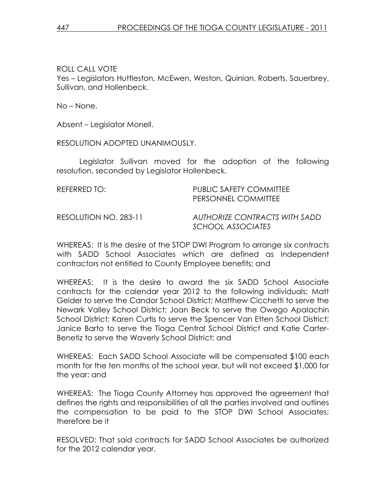Yes – Legislators Huttleston, McEwen, Weston, Quinlan, Roberts, Sauerbrey, Sullivan, and Hollenbeck.

No – None.

Absent – Legislator Monell.

RESOLUTION ADOPTED UNANIMOUSLY.

 Legislator Sullivan moved for the adoption of the following resolution, seconded by Legislator Hollenbeck.

| REFERRED TO:          | <b>PUBLIC SAFETY COMMITTEE</b><br>PERSONNEL COMMITTEE |
|-----------------------|-------------------------------------------------------|
| RESOLUTION NO. 283-11 | AUTHORIZE CONTRACTS WITH SADD<br>SCHOOL ASSOCIATES    |

WHEREAS: It is the desire of the STOP DWI Program to arrange six contracts with SADD School Associates which are defined as Independent contractors not entitled to County Employee benefits; and

WHEREAS: It is the desire to award the six SADD School Associate contracts for the calendar year 2012 to the following individuals; Matt Gelder to serve the Candor School District; Matthew Cicchetti to serve the Newark Valley School District; Joan Beck to serve the Owego Apalachin School District; Karen Curtis to serve the Spencer Van Etten School District; Janice Barto to serve the Tioga Central School District and Katie Carter-Benetiz to serve the Waverly School District; and

WHEREAS: Each SADD School Associate will be compensated \$100 each month for the ten months of the school year, but will not exceed \$1,000 for the year; and

WHEREAS: The Tioga County Attorney has approved the agreement that defines the rights and responsibilities of all the parties involved and outlines the compensation to be paid to the STOP DWI School Associates; therefore be it

RESOLVED: That said contracts for SADD School Associates be authorized for the 2012 calendar year.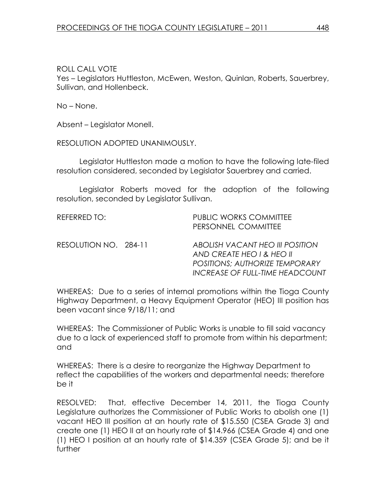Yes – Legislators Huttleston, McEwen, Weston, Quinlan, Roberts, Sauerbrey, Sullivan, and Hollenbeck.

No – None.

Absent – Legislator Monell.

RESOLUTION ADOPTED UNANIMOUSLY.

 Legislator Huttleston made a motion to have the following late-filed resolution considered, seconded by Legislator Sauerbrey and carried.

 Legislator Roberts moved for the adoption of the following resolution, seconded by Legislator Sullivan.

| REFERRED TO:          | <b>PUBLIC WORKS COMMITTEE</b><br>PERSONNEL COMMITTEE                                                                                     |
|-----------------------|------------------------------------------------------------------------------------------------------------------------------------------|
| RESOLUTION NO. 284-11 | ABOLISH VACANT HEO III POSITION<br>AND CREATE HEO I & HEO II<br><b>POSITIONS; AUTHORIZE TEMPORARY</b><br>INCREASE OF FULL-TIME HEADCOUNT |

WHEREAS: Due to a series of internal promotions within the Tioga County Highway Department, a Heavy Equipment Operator (HEO) III position has been vacant since 9/18/11; and

WHEREAS: The Commissioner of Public Works is unable to fill said vacancy due to a lack of experienced staff to promote from within his department; and

WHEREAS: There is a desire to reorganize the Highway Department to reflect the capabilities of the workers and departmental needs; therefore be it

RESOLVED: That, effective December 14, 2011, the Tioga County Legislature authorizes the Commissioner of Public Works to abolish one (1) vacant HEO IIl position at an hourly rate of \$15.550 (CSEA Grade 3) and create one (1) HEO II at an hourly rate of \$14.966 (CSEA Grade 4) and one (1) HEO I position at an hourly rate of \$14.359 (CSEA Grade 5); and be it further